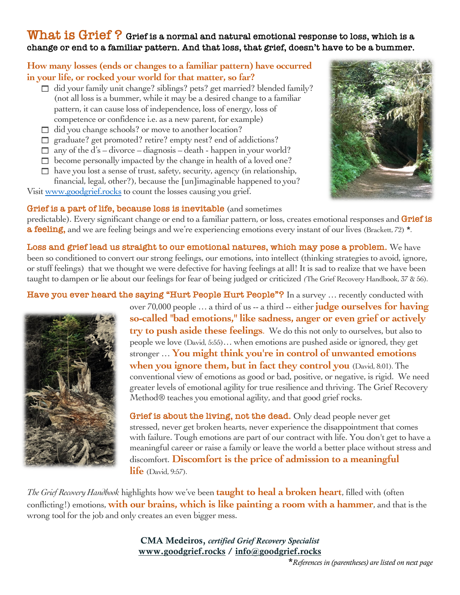### **What is Grief ? Grief is a normal and natural emotional response to loss, which is a change or end to a familiar pattern. And that loss, that grief, doesn't have to be a bummer.**

### **How many losses (ends or changes to a familiar pattern) have occurred in your life, or rocked your world for that matter, so far?**

- $\Box$  did your family unit change? siblings? pets? get married? blended family? (not all loss is a bummer, while it may be a desired change to a familiar pattern, it can cause loss of independence, loss of energy, loss of competence or confidence i.e. as a new parent, for example)
- $\Box$  did you change schools? or move to another location?
- $\Box$  graduate? get promoted? retire? empty nest? end of addictions?
- $\Box$  any of the d's divorce diagnosis death happen in your world?
- $\Box$  become personally impacted by the change in health of a loved one?
- $\Box$  have you lost a sense of trust, safety, security, agency (in relationship, financial, legal, other?), because the [un]imaginable happened to you?

Visit www.goodgrief.rocks to count the losses causing you grief.



#### **Grief is a part of life, because loss is inevitable** (and sometimes

predictable). Every significant change or end to a familiar pattern, or loss, creates emotional responses and **Grief is a feeling,** and we are feeling beings and we're experiencing emotions every instant of our lives (Brackett, 72) \*.

**Loss and grief lead us straight to our emotional natures, which may pose a problem.** We have been so conditioned to convert our strong feelings, our emotions, into intellect (thinking strategies to avoid, ignore, or stuff feelings) that we thought we were defective for having feelings at all! It is sad to realize that we have been taught to dampen or lie about our feelings for fear of being judged or criticized *(*The Grief Recovery Handbook, 37 & 56).

**Have you ever heard the saying "Hurt People Hurt People"?** In a survey … recently conducted with



over 70,000 people … a third of us -- a third -- either **judge ourselves for having so-called "bad emotions," like sadness, anger or even grief or actively try to push aside these feelings**. We do this not only to ourselves, but also to people we love (David, 5:55)… when emotions are pushed aside or ignored, they get stronger … **You might think you're in control of unwanted emotions when you ignore them, but in fact they control you** (David, 8:01).The conventional view of emotions as good or bad, positive, or negative, is rigid. We need greater levels of emotional agility for true resilience and thriving. The Grief Recovery Method<sup>®</sup> teaches you emotional agility, and that good grief rocks.

**Grief is about the living, not the dead.** Only dead people never get stressed, never get broken hearts, never experience the disappointment that comes with failure. Tough emotions are part of our contract with life. You don't get to have a meaningful career or raise a family or leave the world a better place without stress and discomfort. **Discomfort is the price of admission to a meaningful life** (David, 9:57).

*The Grief Recovery Handbook* highlights how we've been **taught to heal a broken heart**, filled with (often conflicting!) emotions, **with our brains, which is like painting a room with a hammer**, and that is the wrong tool for the job and only creates an even bigger mess.

> CMA Medeiros, *certified Grief Recovery Specialist* www.goodgrief.rocks / info@goodgrief.rocks